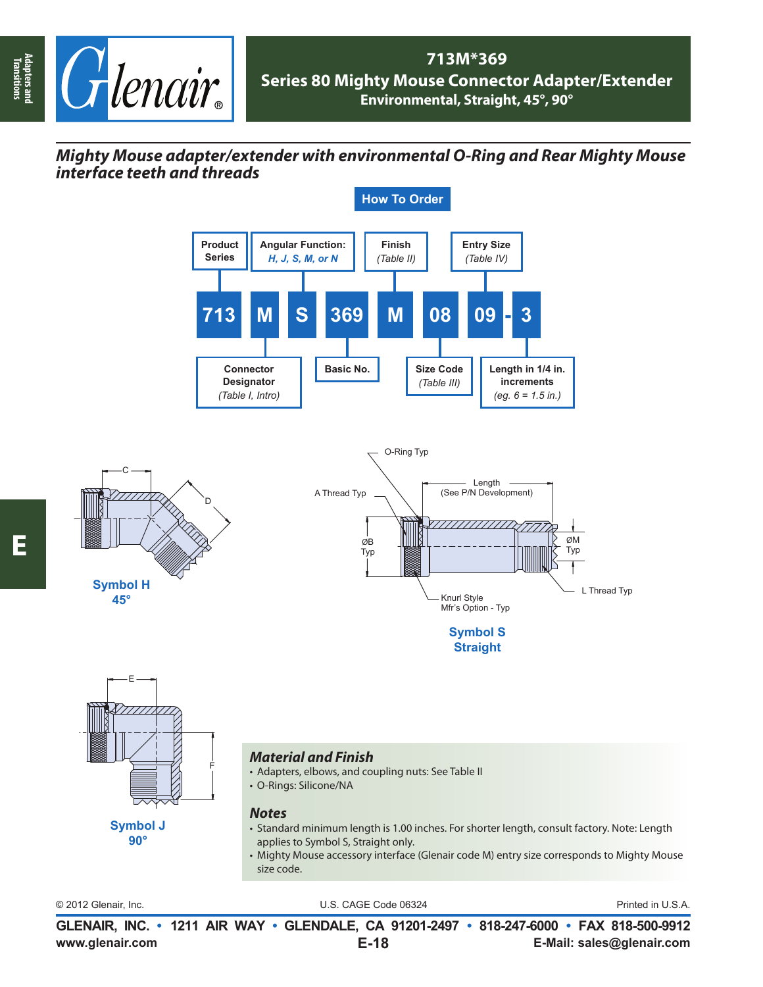

## **713M\*369 Series 80 Mighty Mouse Connector Adapter/Extender Environmental, Straight, 45°, 90°**

## *Mighty Mouse adapter/extender with environmental O-Ring and Rear Mighty Mouse interface teeth and threads*



**Transitions**

Adapters and<br>Transitions